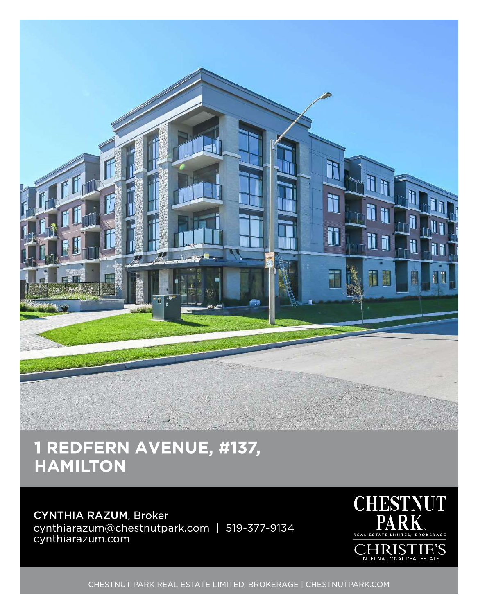

## 1 REDFERN AVENUE, #137, **HAMILTON**

## CYNTHIA RAZUM, Broker cynthiarazum@chestnutpark.com | 519-377-9134 cynthiarazum.com



CHESTNUT PARK REAL ESTATE LIMITED, BROKERAGE | CHESTNUTPARK.COM